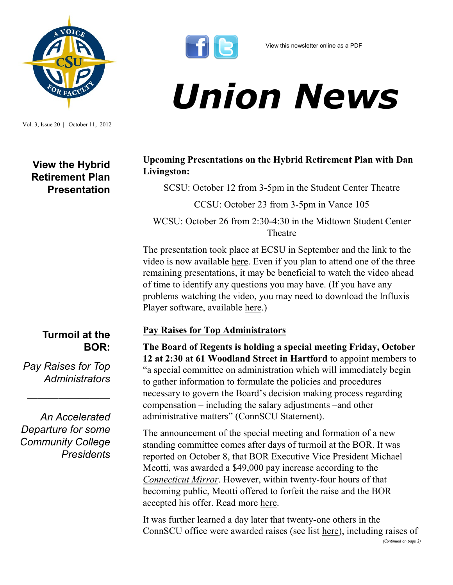

Vol. 3, Issue 20 | October 11, 2012

**View the Hybrid Retirement Plan Presentation**

### **Turmoil at the BOR:**

*Pay Raises for Top Administrators* 

*————————*

*An Accelerated Departure for some Community College Presidents*



# *Union News*

#### **Upcoming Presentations on the Hybrid Retirement Plan with Dan Livingston:**

SCSU: October 12 from 3-5pm in the Student Center Theatre

CCSU: October 23 from 3-5pm in Vance 105

WCSU: October 26 from 2:30-4:30 in the Midtown Student Center Theatre

The presentation took place at ECSU in September and the link to the video is now available [here.](http://infxapps.influxis.com/apps/xhnphplay7hd7cpijtlm/InfluxisPlayer_20120926144846/InfluxisPlayer.html) Even if you plan to attend one of the three remaining presentations, it may be beneficial to watch the video ahead of time to identify any questions you may have. (If you have any problems watching the video, you may need to download the Influxis Player software, available [here.\)](http://www.influxis.com/downloads/OSMFPlayer_free.zip)

### **Pay Raises for Top Administrators**

**The Board of Regents is holding a special meeting Friday, October 12 at 2:30 at 61 Woodland Street in Hartford** to appoint members to "a special committee on administration which will immediately begin to gather information to formulate the policies and procedures necessary to govern the Board's decision making process regarding compensation – including the salary adjustments –and other administrative matters" ([ConnSCU Statement\).](http://www.ctregents.org/newsroom/president_suspends_all_salary_adjustments_chairman_forms_special_committee)

The announcement of the special meeting and formation of a new standing committee comes after days of turmoil at the BOR. It was reported on October 8, that BOR Executive Vice President Michael Meotti, was awarded a \$49,000 pay increase according to the *[Connecticut Mirror](http://www.ctmirror.org/story/17671/double-digit-raise-goes-top-higher-ed-official)*. However, within twenty-four hours of that becoming public, Meotti offered to forfeit the raise and the BOR accepted his offer. Read more [here.](http://www.ctmirror.org/story/17683/meotti-forfeits-controversial-49000-raise) 

It was further learned a day later that twenty-one others in the ConnSCU office were awarded raises (see list [here\)](https://www.ctmirror.org/sites/default/files/documents/raises%20Sheet1_0.pdf), including raises of *(Continued on page 2)*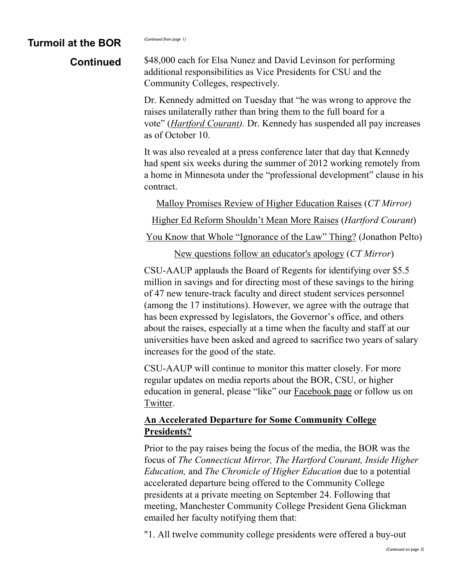#### **Turmoil at the BOR**

*(Continued from page 1)*

#### \$48,000 each for Elsa Nunez and David Levinson for performing additional responsibilities as Vice Presidents for CSU and the Community Colleges, respectively. **Continued**

Dr. Kennedy admitted on Tuesday that "he was wrong to approve the raises unilaterally rather than bring them to the full board for a vote" (*[Hartford Courant\).](http://www.courant.com/news/education/hc-regents-salaries-1010-20121009,0,3886105.story)* Dr. Kennedy has suspended all pay increases as of October 10.

It was also revealed at a press conference later that day that Kennedy had spent six weeks during the summer of 2012 working remotely from a home in Minnesota under the "professional development" clause in his contract.

[Malloy Promises Review of Higher Education Raises](http://t.co/EMuSFVy9) (*CT Mirror)*

[Higher Ed Reform Shouldn't Mean More Raises](http://www.courant.com/news/opinion/editorials/hc-ed-higher-ed-salaries-go-crazy-again-20121009,0,7028010.story) (*Hartford Courant*)

[You Know that Whole "Ignorance of the Law" Thing?](http://t.co/7vaLRXrL) (Jonathon Pelto)

[New questions follow an educator's apology](http://www.ctmirror.org/story/17701/kennedy) (*CT Mirror*)

CSU-AAUP applauds the Board of Regents for identifying over \$5.5 million in savings and for directing most of these savings to the hiring of 47 new tenure-track faculty and direct student services personnel (among the 17 institutions). However, we agree with the outrage that has been expressed by legislators, the Governor's office, and others about the raises, especially at a time when the faculty and staff at our universities have been asked and agreed to sacrifice two years of salary increases for the good of the state.

CSU-AAUP will continue to monitor this matter closely. For more regular updates on media reports about the BOR, CSU, or higher education in general, please "like" our [Facebook page](http://www.facebook.com/csuaaup#!/pages/CSU-AAUP/112907808749535) or follow us on [Twitter.](http://twitter.com/csuaaup/)

#### **An Accelerated Departure for Some Community College Presidents?**

Prior to the pay raises being the focus of the media, the BOR was the focus of *The Connecticut Mirror, The Hartford Courant, Inside Higher Education,* and *The Chronicle of Higher Education* due to a potential accelerated departure being offered to the Community College presidents at a private meeting on September 24. Following that meeting, Manchester Community College President Gena Glickman emailed her faculty notifying them that:

"1. All twelve community college presidents were offered a buy-out